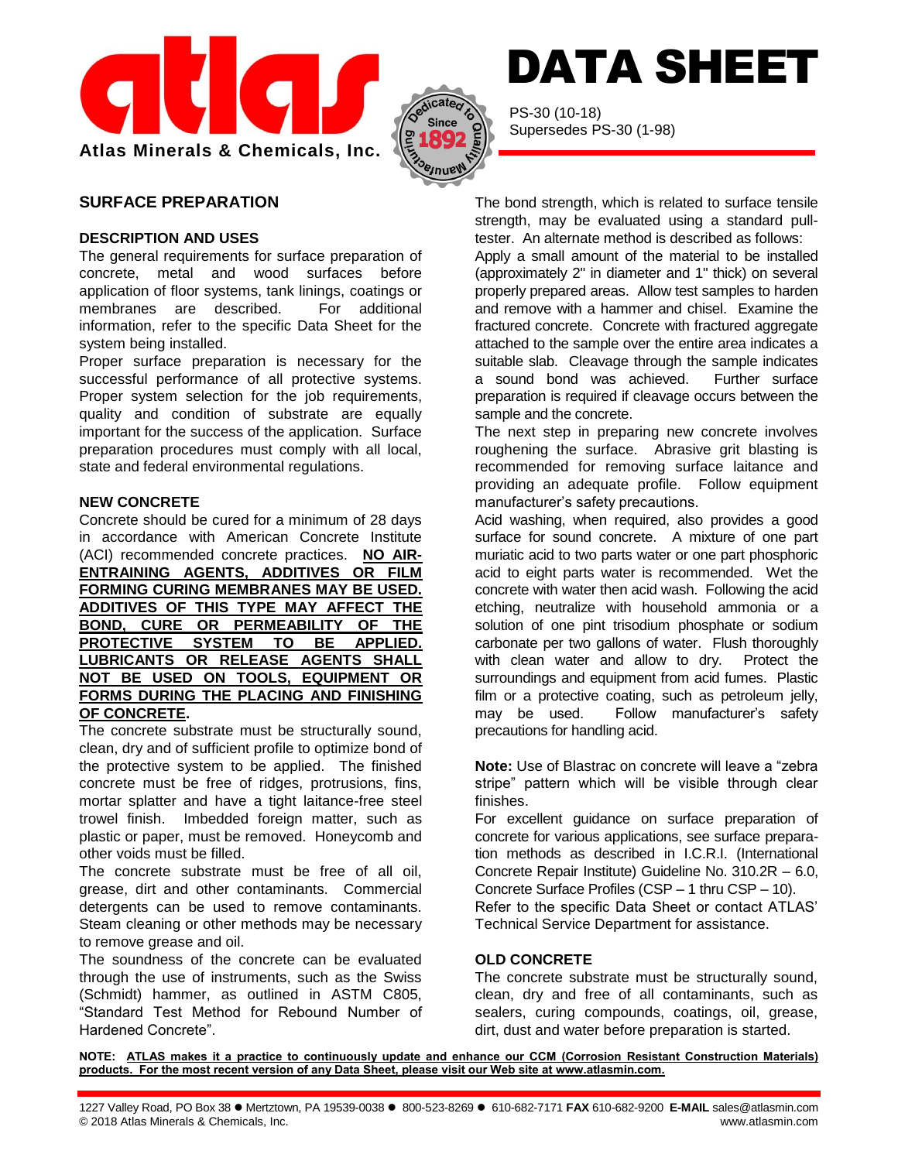



PS-30 (10-18) Supersedes PS-30 (1-98)

# **SURFACE PREPARATION**

#### **DESCRIPTION AND USES**

The general requirements for surface preparation of concrete, metal and wood surfaces before application of floor systems, tank linings, coatings or membranes are described. For additional information, refer to the specific Data Sheet for the system being installed.

Proper surface preparation is necessary for the successful performance of all protective systems. Proper system selection for the job requirements, quality and condition of substrate are equally important for the success of the application. Surface preparation procedures must comply with all local, state and federal environmental regulations.

### **NEW CONCRETE**

Concrete should be cured for a minimum of 28 days in accordance with American Concrete Institute (ACI) recommended concrete practices. **NO AIR-ENTRAINING AGENTS, ADDITIVES OR FILM FORMING CURING MEMBRANES MAY BE USED. ADDITIVES OF THIS TYPE MAY AFFECT THE BOND, CURE OR PERMEABILITY OF THE PROTECTIVE SYSTEM TO BE APPLIED. LUBRICANTS OR RELEASE AGENTS SHALL NOT BE USED ON TOOLS, EQUIPMENT OR FORMS DURING THE PLACING AND FINISHING OF CONCRETE.**

The concrete substrate must be structurally sound, clean, dry and of sufficient profile to optimize bond of the protective system to be applied. The finished concrete must be free of ridges, protrusions, fins, mortar splatter and have a tight laitance-free steel trowel finish. Imbedded foreign matter, such as plastic or paper, must be removed. Honeycomb and other voids must be filled.

The concrete substrate must be free of all oil, grease, dirt and other contaminants. Commercial detergents can be used to remove contaminants. Steam cleaning or other methods may be necessary to remove grease and oil.

The soundness of the concrete can be evaluated through the use of instruments, such as the Swiss (Schmidt) hammer, as outlined in ASTM C805, "Standard Test Method for Rebound Number of Hardened Concrete".

The bond strength, which is related to surface tensile strength, may be evaluated using a standard pulltester. An alternate method is described as follows:

DATA SHEET

Apply a small amount of the material to be installed (approximately 2" in diameter and 1" thick) on several properly prepared areas. Allow test samples to harden and remove with a hammer and chisel. Examine the fractured concrete. Concrete with fractured aggregate attached to the sample over the entire area indicates a suitable slab. Cleavage through the sample indicates a sound bond was achieved. Further surface preparation is required if cleavage occurs between the sample and the concrete.

The next step in preparing new concrete involves roughening the surface. Abrasive grit blasting is recommended for removing surface laitance and providing an adequate profile. Follow equipment manufacturer's safety precautions.

Acid washing, when required, also provides a good surface for sound concrete. A mixture of one part muriatic acid to two parts water or one part phosphoric acid to eight parts water is recommended. Wet the concrete with water then acid wash. Following the acid etching, neutralize with household ammonia or a solution of one pint trisodium phosphate or sodium carbonate per two gallons of water. Flush thoroughly with clean water and allow to dry. Protect the surroundings and equipment from acid fumes. Plastic film or a protective coating, such as petroleum jelly, may be used. Follow manufacturer's safety precautions for handling acid.

**Note:** Use of Blastrac on concrete will leave a "zebra stripe" pattern which will be visible through clear finishes.

For excellent guidance on surface preparation of concrete for various applications, see surface preparation methods as described in I.C.R.I. (International Concrete Repair Institute) Guideline No. 310.2R – 6.0, Concrete Surface Profiles (CSP – 1 thru CSP – 10). Refer to the specific Data Sheet or contact ATLAS' Technical Service Department for assistance.

## **OLD CONCRETE**

The concrete substrate must be structurally sound, clean, dry and free of all contaminants, such as sealers, curing compounds, coatings, oil, grease, dirt, dust and water before preparation is started.

**NOTE: ATLAS makes it a practice to continuously update and enhance our CCM (Corrosion Resistant Construction Materials) products. For the most recent version of any Data Sheet, please visit our Web site at www.atlasmin.com.**